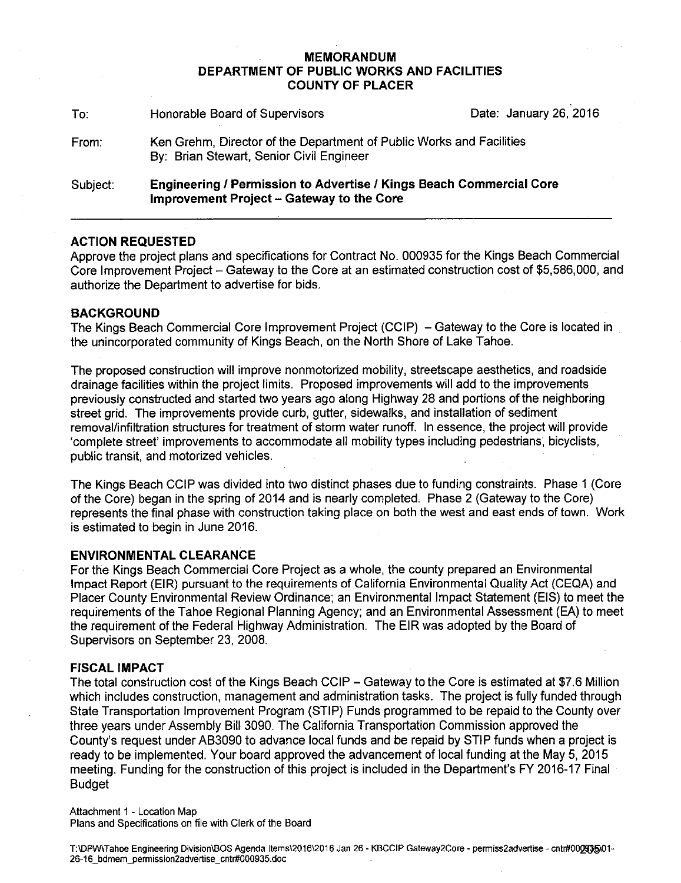## **MEMORANDUM DEPARTMENT OF PUBLIC WORKS AND FACILITIES COUNTY OF PLACER**

| To:      | Honorable Board of Supervisors                                                                                                 | Date: January 26, 2016 |
|----------|--------------------------------------------------------------------------------------------------------------------------------|------------------------|
| From:    | Ken Grehm, Director of the Department of Public Works and Facilities<br>By: Brian Stewart, Senior Civil Engineer               |                        |
| Subject: | <b>Engineering / Permission to Advertise / Kings Beach Commercial Core</b><br><b>Improvement Project - Gateway to the Core</b> |                        |

# **ACTION REQUESTED**

Approve the project plans and specifications for Contract No. 000935 for the Kings Beach Commercial Core Improvement Project - Gateway to the Core at an estimated construction cost of \$5,586,000, and authorize the Department to advertise for bids.

## **BACKGROUND**

The Kings Beach Commercial Core Improvement Project (CCIP) – Gateway to the Core is located in the unincorporated community of Kings Beach, on the North Shore of Lake Tahoe.

The proposed construction will improve nonmotorized mobility, streetscape aesthetics, and roadside drainage facilities within the project limits. Proposed improvements will add to the improvements previously constructed and started two years ago along Highway 28 and portions of the neighboring street grid. The improvements provide curb, gutter, sidewalks, and installation of sediment removal/infiltration structures for treatment of storm water runoff. In essence, the project will provide 'complete street' improvements to accommodate all mobility types including pedestrians; bicyclists, public transit, and motorized vehicles.

The Kings Beach CCIP was divided into two distinct phases due to funding constraints. Phase 1 (Core of the Core) began in the spring of 2014 and is nearly completed. Phase 2 (Gateway to the Core) represents the final phase with construction taking place on both the west and east ends of town. Work is estimated to begin in June 2016.

#### **ENVIRONMENTAL CLEARANCE**

For the Kings Beach Commercial Core Project as a whole, the county prepared an Environmental Impact Report (EIR) pursuant to the requirements of California Environmental Quality Act (CEQA) and Placer County Environmental Review Ordinance; an Environmental Impact Statement (EIS) to meet the requirements of the Tahoe Regional Planning Agency; and an Environmental Assessment (EA) to meet the requirement of the Federal Highway Administration. The EIR was adopted by the Board of Supervisors on September 23, 2008.

#### **FISCAL IMPACT**

The total construction cost of the Kings Beach CCIP – Gateway to the Core is estimated at \$7.6 Million which includes construction, management and administration tasks. The project is fully funded through State Transportation Improvement Program (STIP) Funds programmed to be repaid to the County over three years under Assembly Bill 3090. The California Transportation Commission approved the County's request under AB3090 to advance local funds and be repaid by STIP funds when a project is ready to be implemented. Your board approved the advancement of local funding at the May 5, 2015 meeting. Funding for the construction of this project is included in the Department's FY 2016-17 Final Budget

Attachment 1 - Location Map Plans and Specifications on file with Clerk of the Board